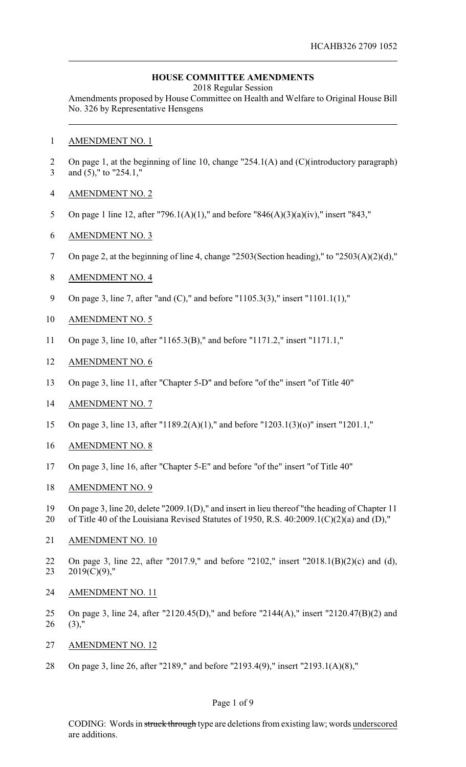### **HOUSE COMMITTEE AMENDMENTS**

2018 Regular Session

Amendments proposed by House Committee on Health and Welfare to Original House Bill No. 326 by Representative Hensgens

- AMENDMENT NO. 1
- On page 1, at the beginning of line 10, change "254.1(A) and (C)(introductory paragraph) and (5)," to "254.1,"
- AMENDMENT NO. 2
- On page 1 line 12, after "796.1(A)(1)," and before "846(A)(3)(a)(iv)," insert "843,"
- AMENDMENT NO. 3
- On page 2, at the beginning of line 4, change "2503(Section heading)," to "2503(A)(2)(d),"
- AMENDMENT NO. 4
- On page 3, line 7, after "and (C)," and before "1105.3(3)," insert "1101.1(1),"
- AMENDMENT NO. 5
- On page 3, line 10, after "1165.3(B)," and before "1171.2," insert "1171.1,"
- AMENDMENT NO. 6
- On page 3, line 11, after "Chapter 5-D" and before "of the" insert "of Title 40"
- AMENDMENT NO. 7
- On page 3, line 13, after "1189.2(A)(1)," and before "1203.1(3)(o)" insert "1201.1,"
- AMENDMENT NO. 8
- On page 3, line 16, after "Chapter 5-E" and before "of the" insert "of Title 40"
- AMENDMENT NO. 9
- On page 3, line 20, delete "2009.1(D)," and insert in lieu thereof "the heading of Chapter 11
- of Title 40 of the Louisiana Revised Statutes of 1950, R.S. 40:2009.1(C)(2)(a) and (D),"
- AMENDMENT NO. 10
- On page 3, line 22, after "2017.9," and before "2102," insert "2018.1(B)(2)(c) and (d), 23  $2019(C)(9)$ ,"
- AMENDMENT NO. 11
- On page 3, line 24, after "2120.45(D)," and before "2144(A)," insert "2120.47(B)(2) and (3),"
- AMENDMENT NO. 12
- On page 3, line 26, after "2189," and before "2193.4(9)," insert "2193.1(A)(8),"

#### Page 1 of 9

CODING: Words in struck through type are deletions from existing law; words underscored are additions.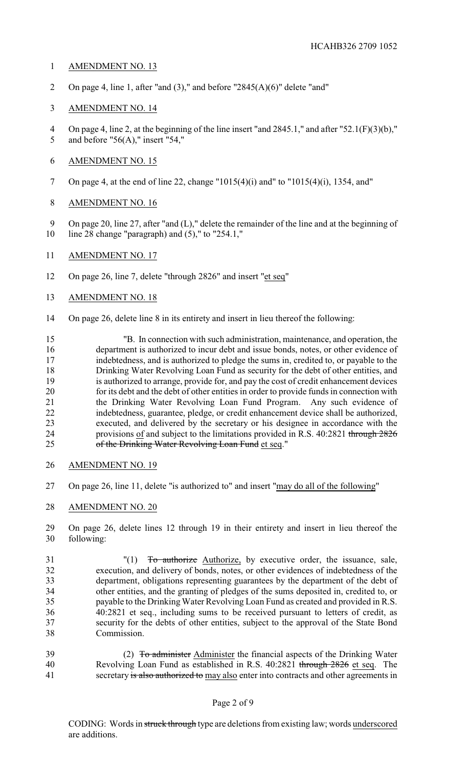# AMENDMENT NO. 13

2 On page 4, line 1, after "and  $(3)$ ," and before "2845 $(A)(6)$ " delete "and"

# AMENDMENT NO. 14

 On page 4, line 2, at the beginning of the line insert "and 2845.1," and after "52.1(F)(3)(b)," and before "56(A)," insert "54,"

#### AMENDMENT NO. 15

- On page 4, at the end of line 22, change "1015(4)(i) and" to "1015(4)(i), 1354, and"
- AMENDMENT NO. 16

 On page 20, line 27, after "and (L)," delete the remainder of the line and at the beginning of line 28 change "paragraph) and (5)," to "254.1,"

- AMENDMENT NO. 17
- On page 26, line 7, delete "through 2826" and insert "et seq"
- AMENDMENT NO. 18
- On page 26, delete line 8 in its entirety and insert in lieu thereof the following:

 "B. In connection with such administration, maintenance, and operation, the department is authorized to incur debt and issue bonds, notes, or other evidence of indebtedness, and is authorized to pledge the sums in, credited to, or payable to the Drinking Water Revolving Loan Fund as security for the debt of other entities, and is authorized to arrange, provide for, and pay the cost of credit enhancement devices for its debt and the debt of other entities in order to provide funds in connection with the Drinking Water Revolving Loan Fund Program. Any such evidence of indebtedness, guarantee, pledge, or credit enhancement device shall be authorized, executed, and delivered by the secretary or his designee in accordance with the provisions of and subject to the limitations provided in R.S. 40:2821 through 2826 25 of the Drinking Water Revolving Loan Fund et seq."

- AMENDMENT NO. 19
- On page 26, line 11, delete "is authorized to" and insert "may do all of the following"
- AMENDMENT NO. 20
- On page 26, delete lines 12 through 19 in their entirety and insert in lieu thereof the following:
- "(1) To authorize Authorize, by executive order, the issuance, sale, execution, and delivery of bonds, notes, or other evidences of indebtedness of the department, obligations representing guarantees by the department of the debt of other entities, and the granting of pledges of the sums deposited in, credited to, or payable to the Drinking Water Revolving Loan Fund as created and provided in R.S. 40:2821 et seq., including sums to be received pursuant to letters of credit, as security for the debts of other entities, subject to the approval of the State Bond Commission.
- 39 (2) To administer Administer the financial aspects of the Drinking Water Revolving Loan Fund as established in R.S. 40:2821 through 2826 et seq. The 41 secretary is also authorized to may also enter into contracts and other agreements in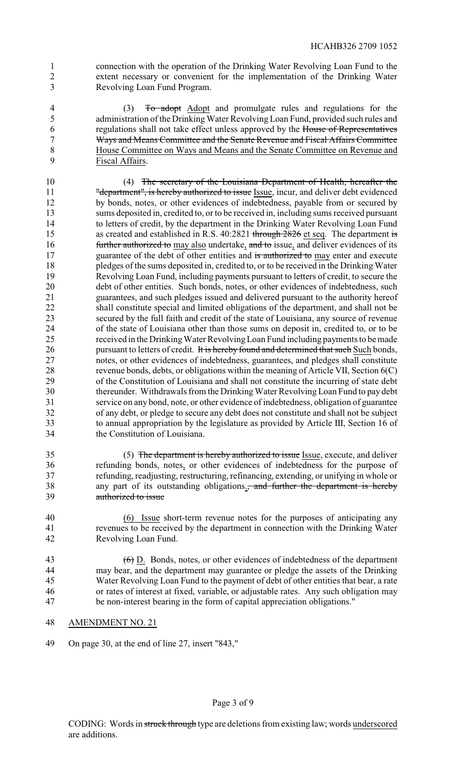- connection with the operation of the Drinking Water Revolving Loan Fund to the extent necessary or convenient for the implementation of the Drinking Water Revolving Loan Fund Program.
- (3) To adopt Adopt and promulgate rules and regulations for the administration of the Drinking Water Revolving Loan Fund, provided such rules and regulations shall not take effect unless approved by the House of Representatives Ways and Means Committee and the Senate Revenue and Fiscal Affairs Committee House Committee on Ways and Means and the Senate Committee on Revenue and Fiscal Affairs.
- (4) The secretary of the Louisiana Department of Health, hereafter the 11 "department", is hereby authorized to issue Issue, incur, and deliver debt evidenced by bonds, notes, or other evidences of indebtedness, payable from or secured by sums deposited in, credited to, or to be received in, including sums received pursuant to letters of credit, by the department in the Drinking Water Revolving Loan Fund 15 as created and established in R.S. 40:2821 through 2826 et seq. The department is **further authorized to** may also undertake, and to issue, and deliver evidences of its 17 guarantee of the debt of other entities and is authorized to may enter and execute pledges of the sums deposited in, credited to, or to be received in the Drinking Water Revolving Loan Fund, including payments pursuant to letters of credit, to secure the debt of other entities. Such bonds, notes, or other evidences of indebtedness, such guarantees, and such pledges issued and delivered pursuant to the authority hereof shall constitute special and limited obligations of the department, and shall not be secured by the full faith and credit of the state of Louisiana, any source of revenue of the state of Louisiana other than those sums on deposit in, credited to, or to be received in the DrinkingWater Revolving Loan Fund including payments to be made 26 pursuant to letters of credit. It is hereby found and determined that such Such bonds, notes, or other evidences of indebtedness, guarantees, and pledges shall constitute revenue bonds, debts, or obligations within the meaning of Article VII, Section 6(C) of the Constitution of Louisiana and shall not constitute the incurring of state debt thereunder. Withdrawals from the Drinking Water Revolving Loan Fund to pay debt service on any bond, note, or other evidence of indebtedness, obligation of guarantee of any debt, or pledge to secure any debt does not constitute and shall not be subject to annual appropriation by the legislature as provided by Article III, Section 16 of the Constitution of Louisiana.
- (5) The department is hereby authorized to issue Issue, execute, and deliver refunding bonds, notes, or other evidences of indebtedness for the purpose of refunding, readjusting, restructuring, refinancing, extending, or unifying in whole or 38 any part of its outstanding obligations., and further the department is hereby authorized to issue
- (6) Issue short-term revenue notes for the purposes of anticipating any revenues to be received by the department in connection with the Drinking Water Revolving Loan Fund.
- 43  $\left(6\right)$  D. Bonds, notes, or other evidences of indebtedness of the department may bear, and the department may guarantee or pledge the assets of the Drinking Water Revolving Loan Fund to the payment of debt of other entities that bear, a rate or rates of interest at fixed, variable, or adjustable rates. Any such obligation may be non-interest bearing in the form of capital appreciation obligations."
- AMENDMENT NO. 21
- On page 30, at the end of line 27, insert "843,"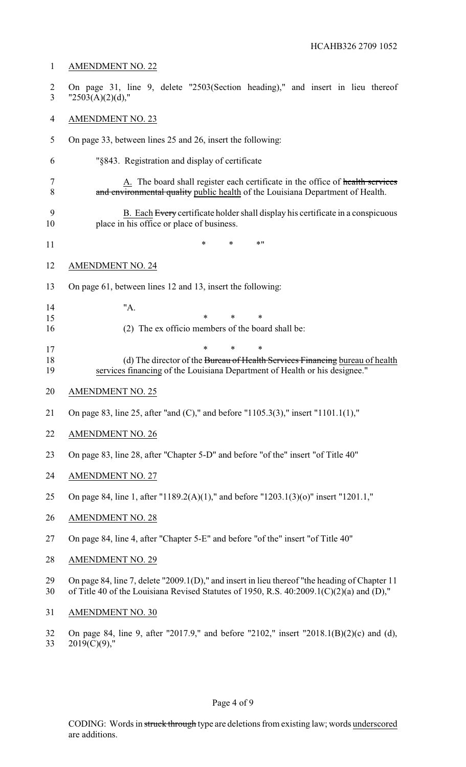# AMENDMENT NO. 22

- On page 31, line 9, delete "2503(Section heading)," and insert in lieu thereof 3  $"2503(A)(2)(d),"$
- AMENDMENT NO. 23
- On page 33, between lines 25 and 26, insert the following:
- "§843. Registration and display of certificate
- 7 A. The board shall register each certificate in the office of health services 8 and environmental quality public health of the Louisiana Department of Health.
- 9 B. Each Every certificate holder shall display his certificate in a conspicuous place in his office or place of business.
- \* \* \*"
- AMENDMENT NO. 24
- On page 61, between lines 12 and 13, insert the following:
- "A. \* \* \* (2) The ex officio members of the board shall be:
	-
- 17 \* \* \* \* (d) The director of the Bureau of Health Services Financing bureau of health services financing of the Louisiana Department of Health or his designee."
- AMENDMENT NO. 25
- On page 83, line 25, after "and (C)," and before "1105.3(3)," insert "1101.1(1),"
- AMENDMENT NO. 26
- On page 83, line 28, after "Chapter 5-D" and before "of the" insert "of Title 40"
- AMENDMENT NO. 27
- On page 84, line 1, after "1189.2(A)(1)," and before "1203.1(3)(o)" insert "1201.1,"
- AMENDMENT NO. 28
- On page 84, line 4, after "Chapter 5-E" and before "of the" insert "of Title 40"
- AMENDMENT NO. 29
- On page 84, line 7, delete "2009.1(D)," and insert in lieu thereof "the heading of Chapter 11 of Title 40 of the Louisiana Revised Statutes of 1950, R.S. 40:2009.1(C)(2)(a) and (D),"
- AMENDMENT NO. 30
- On page 84, line 9, after "2017.9," and before "2102," insert "2018.1(B)(2)(c) and (d), 2019(C)(9),"

# Page 4 of 9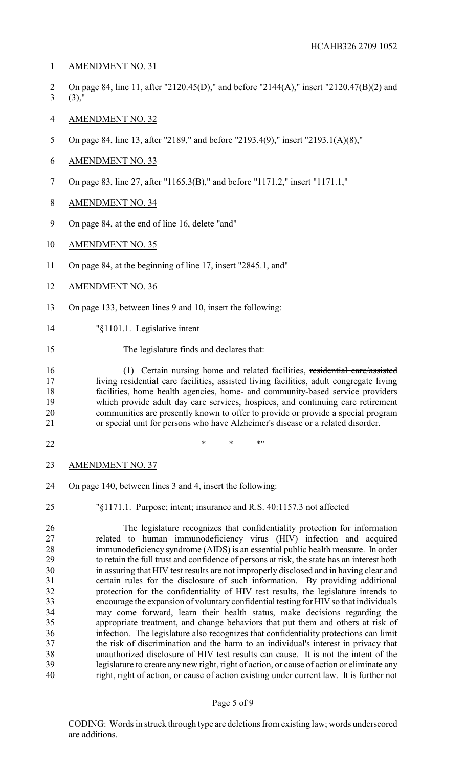- AMENDMENT NO. 31
- On page 84, line 11, after "2120.45(D)," and before "2144(A)," insert "2120.47(B)(2) and (3),'
- AMENDMENT NO. 32
- On page 84, line 13, after "2189," and before "2193.4(9)," insert "2193.1(A)(8),"
- AMENDMENT NO. 33
- On page 83, line 27, after "1165.3(B)," and before "1171.2," insert "1171.1,"
- AMENDMENT NO. 34
- On page 84, at the end of line 16, delete "and"
- AMENDMENT NO. 35
- On page 84, at the beginning of line 17, insert "2845.1, and"
- AMENDMENT NO. 36
- On page 133, between lines 9 and 10, insert the following:
- "§1101.1. Legislative intent
- The legislature finds and declares that:

 (1) Certain nursing home and related facilities, residential care/assisted 17 living residential care facilities, assisted living facilities, adult congregate living facilities, home health agencies, home- and community-based service providers which provide adult day care services, hospices, and continuing care retirement communities are presently known to offer to provide or provide a special program or special unit for persons who have Alzheimer's disease or a related disorder.

- 
- \* \* \*"
- AMENDMENT NO. 37
- On page 140, between lines 3 and 4, insert the following:
- 

"§1171.1. Purpose; intent; insurance and R.S. 40:1157.3 not affected

 The legislature recognizes that confidentiality protection for information related to human immunodeficiency virus (HIV) infection and acquired immunodeficiency syndrome (AIDS) is an essential public health measure. In order to retain the full trust and confidence of persons at risk, the state has an interest both in assuring that HIV test results are not improperly disclosed and in having clear and certain rules for the disclosure of such information. By providing additional protection for the confidentiality of HIV test results, the legislature intends to encourage the expansion of voluntary confidential testing for HIV so that individuals may come forward, learn their health status, make decisions regarding the appropriate treatment, and change behaviors that put them and others at risk of infection. The legislature also recognizes that confidentiality protections can limit the risk of discrimination and the harm to an individual's interest in privacy that unauthorized disclosure of HIV test results can cause. It is not the intent of the legislature to create any new right, right of action, or cause of action or eliminate any right, right of action, or cause of action existing under current law. It is further not

#### Page 5 of 9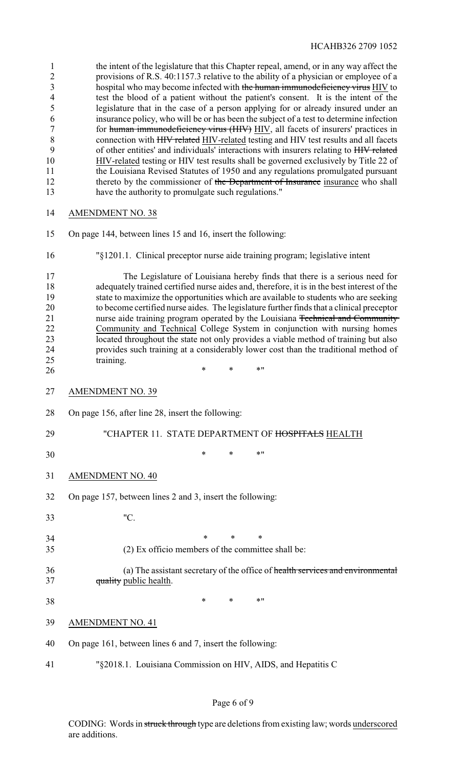| 1<br>$\overline{2}$<br>$\mathfrak{Z}$<br>4<br>5<br>6<br>$\boldsymbol{7}$<br>$8\,$<br>9<br>10<br>11<br>12<br>13 | the intent of the legislature that this Chapter repeal, amend, or in any way affect the<br>provisions of R.S. 40:1157.3 relative to the ability of a physician or employee of a<br>hospital who may become infected with the human immunodeficiency virus HIV to<br>test the blood of a patient without the patient's consent. It is the intent of the<br>legislature that in the case of a person applying for or already insured under an<br>insurance policy, who will be or has been the subject of a test to determine infection<br>for human immunodeficiency virus (HIV) HIV, all facets of insurers' practices in<br>connection with HIV related HIV-related testing and HIV test results and all facets<br>of other entities' and individuals' interactions with insurers relating to HIV related<br>HIV-related testing or HIV test results shall be governed exclusively by Title 22 of<br>the Louisiana Revised Statutes of 1950 and any regulations promulgated pursuant<br>thereto by the commissioner of the Department of Insurance insurance who shall<br>have the authority to promulgate such regulations." |
|----------------------------------------------------------------------------------------------------------------|--------------------------------------------------------------------------------------------------------------------------------------------------------------------------------------------------------------------------------------------------------------------------------------------------------------------------------------------------------------------------------------------------------------------------------------------------------------------------------------------------------------------------------------------------------------------------------------------------------------------------------------------------------------------------------------------------------------------------------------------------------------------------------------------------------------------------------------------------------------------------------------------------------------------------------------------------------------------------------------------------------------------------------------------------------------------------------------------------------------------------------|
| 14                                                                                                             | <b>AMENDMENT NO. 38</b>                                                                                                                                                                                                                                                                                                                                                                                                                                                                                                                                                                                                                                                                                                                                                                                                                                                                                                                                                                                                                                                                                                        |
| 15                                                                                                             | On page 144, between lines 15 and 16, insert the following:                                                                                                                                                                                                                                                                                                                                                                                                                                                                                                                                                                                                                                                                                                                                                                                                                                                                                                                                                                                                                                                                    |
| 16                                                                                                             | "§1201.1. Clinical preceptor nurse aide training program; legislative intent                                                                                                                                                                                                                                                                                                                                                                                                                                                                                                                                                                                                                                                                                                                                                                                                                                                                                                                                                                                                                                                   |
| 17<br>18<br>19<br>20<br>21<br>22<br>23<br>24<br>25<br>26                                                       | The Legislature of Louisiana hereby finds that there is a serious need for<br>adequately trained certified nurse aides and, therefore, it is in the best interest of the<br>state to maximize the opportunities which are available to students who are seeking<br>to become certified nurse aides. The legislature further finds that a clinical preceptor<br>nurse aide training program operated by the Louisiana Technical and Community<br>Community and Technical College System in conjunction with nursing homes<br>located throughout the state not only provides a viable method of training but also<br>provides such training at a considerably lower cost than the traditional method of<br>training.<br>$\ast$<br>*<br>* 11                                                                                                                                                                                                                                                                                                                                                                                      |
| 27                                                                                                             | <b>AMENDMENT NO. 39</b>                                                                                                                                                                                                                                                                                                                                                                                                                                                                                                                                                                                                                                                                                                                                                                                                                                                                                                                                                                                                                                                                                                        |
| 28                                                                                                             | On page 156, after line 28, insert the following:                                                                                                                                                                                                                                                                                                                                                                                                                                                                                                                                                                                                                                                                                                                                                                                                                                                                                                                                                                                                                                                                              |
| 29                                                                                                             | "CHAPTER 11. STATE DEPARTMENT OF HOSPITALS HEALTH                                                                                                                                                                                                                                                                                                                                                                                                                                                                                                                                                                                                                                                                                                                                                                                                                                                                                                                                                                                                                                                                              |
| 30                                                                                                             | $\ast$<br>* 11<br>∗                                                                                                                                                                                                                                                                                                                                                                                                                                                                                                                                                                                                                                                                                                                                                                                                                                                                                                                                                                                                                                                                                                            |
| 31                                                                                                             | <b>AMENDMENT NO. 40</b>                                                                                                                                                                                                                                                                                                                                                                                                                                                                                                                                                                                                                                                                                                                                                                                                                                                                                                                                                                                                                                                                                                        |
| 32                                                                                                             | On page 157, between lines 2 and 3, insert the following:                                                                                                                                                                                                                                                                                                                                                                                                                                                                                                                                                                                                                                                                                                                                                                                                                                                                                                                                                                                                                                                                      |
| 33                                                                                                             | "C.                                                                                                                                                                                                                                                                                                                                                                                                                                                                                                                                                                                                                                                                                                                                                                                                                                                                                                                                                                                                                                                                                                                            |
| 34<br>35                                                                                                       | $\ast$<br>*<br>∗<br>(2) Ex officio members of the committee shall be:                                                                                                                                                                                                                                                                                                                                                                                                                                                                                                                                                                                                                                                                                                                                                                                                                                                                                                                                                                                                                                                          |
| 36<br>37                                                                                                       | (a) The assistant secretary of the office of health services and environmental<br>quality public health.                                                                                                                                                                                                                                                                                                                                                                                                                                                                                                                                                                                                                                                                                                                                                                                                                                                                                                                                                                                                                       |
| 38                                                                                                             | $*$ "<br>$\ast$<br>$\ast$                                                                                                                                                                                                                                                                                                                                                                                                                                                                                                                                                                                                                                                                                                                                                                                                                                                                                                                                                                                                                                                                                                      |
| 39                                                                                                             | <b>AMENDMENT NO. 41</b>                                                                                                                                                                                                                                                                                                                                                                                                                                                                                                                                                                                                                                                                                                                                                                                                                                                                                                                                                                                                                                                                                                        |
| 40                                                                                                             | On page 161, between lines 6 and 7, insert the following:                                                                                                                                                                                                                                                                                                                                                                                                                                                                                                                                                                                                                                                                                                                                                                                                                                                                                                                                                                                                                                                                      |
| 41                                                                                                             | "§2018.1. Louisiana Commission on HIV, AIDS, and Hepatitis C                                                                                                                                                                                                                                                                                                                                                                                                                                                                                                                                                                                                                                                                                                                                                                                                                                                                                                                                                                                                                                                                   |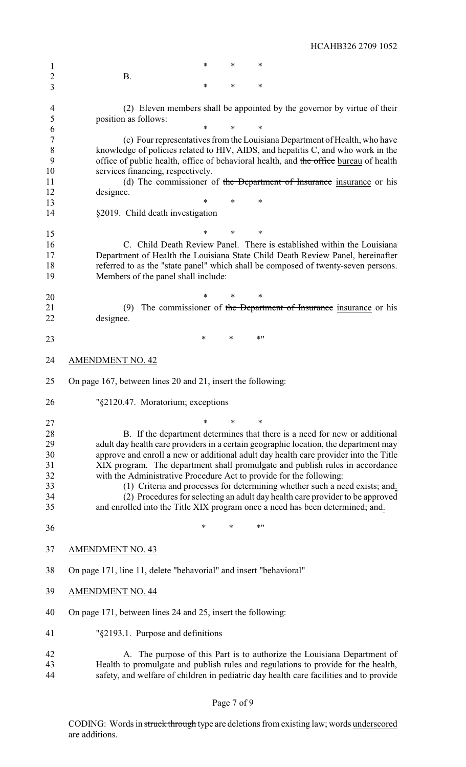1 \* \* \* \* B. \* \* \* (2) Eleven members shall be appointed by the governor by virtue of their position as follows: \* \* \* (c) Four representatives from the Louisiana Department of Health, who have knowledge of policies related to HIV, AIDS, and hepatitis C, and who work in the 9 office of public health, office of behavioral health, and the office bureau of health services financing, respectively. 11 (d) The commissioner of the Department of Insurance insurance or his designee. \* \* \* §2019. Child death investigation \* \* \* C. Child Death Review Panel. There is established within the Louisiana Department of Health the Louisiana State Child Death Review Panel, hereinafter referred to as the "state panel" which shall be composed of twenty-seven persons. Members of the panel shall include: \* \* \* 21 (9) The commissioner of the Department of Insurance insurance or his designee. 23 \* \* \* \* \* \* AMENDMENT NO. 42 On page 167, between lines 20 and 21, insert the following: "§2120.47. Moratorium; exceptions \* \* \* 28 B. If the department determines that there is a need for new or additional adult day health care providers in a certain geographic location, the department may 29 adult day health care providers in a certain geographic location, the department may<br>30 approve and enroll a new or additional adult day health care provider into the Title approve and enroll a new or additional adult day health care provider into the Title XIX program. The department shall promulgate and publish rules in accordance with the Administrative Procedure Act to provide for the following: 33 (1) Criteria and processes for determining whether such a need exists; and. (2) Procedures for selecting an adult day health care provider to be approved 35 and enrolled into the Title XIX program once a need has been determined; and. 36 \* \* \* \* \* \* AMENDMENT NO. 43 On page 171, line 11, delete "behavorial" and insert "behavioral" AMENDMENT NO. 44 On page 171, between lines 24 and 25, insert the following: "§2193.1. Purpose and definitions A. The purpose of this Part is to authorize the Louisiana Department of Health to promulgate and publish rules and regulations to provide for the health,

HCAHB326 2709 1052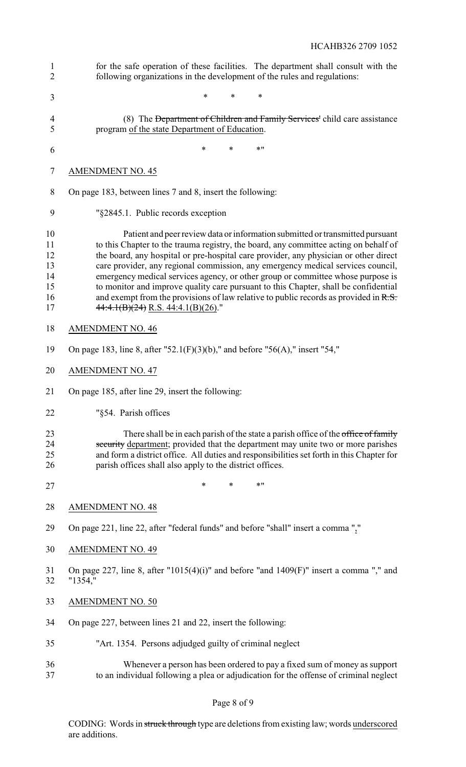| 1<br>$\overline{2}$                          | for the safe operation of these facilities. The department shall consult with the<br>following organizations in the development of the rules and regulations:                                                                                                                                                                                                                                                                                                                                                                                                                                                                                                   |
|----------------------------------------------|-----------------------------------------------------------------------------------------------------------------------------------------------------------------------------------------------------------------------------------------------------------------------------------------------------------------------------------------------------------------------------------------------------------------------------------------------------------------------------------------------------------------------------------------------------------------------------------------------------------------------------------------------------------------|
| 3                                            | $\ast$<br>$\ast$<br>*                                                                                                                                                                                                                                                                                                                                                                                                                                                                                                                                                                                                                                           |
| 4<br>5                                       | (8) The Department of Children and Family Services' child care assistance<br>program of the state Department of Education.                                                                                                                                                                                                                                                                                                                                                                                                                                                                                                                                      |
| 6                                            | $\ast$<br>$*$ "<br>$\ast$                                                                                                                                                                                                                                                                                                                                                                                                                                                                                                                                                                                                                                       |
| 7                                            | <b>AMENDMENT NO. 45</b>                                                                                                                                                                                                                                                                                                                                                                                                                                                                                                                                                                                                                                         |
| 8                                            | On page 183, between lines 7 and 8, insert the following:                                                                                                                                                                                                                                                                                                                                                                                                                                                                                                                                                                                                       |
| 9                                            | "§2845.1. Public records exception                                                                                                                                                                                                                                                                                                                                                                                                                                                                                                                                                                                                                              |
| 10<br>11<br>12<br>13<br>14<br>15<br>16<br>17 | Patient and peer review data or information submitted or transmitted pursuant<br>to this Chapter to the trauma registry, the board, any committee acting on behalf of<br>the board, any hospital or pre-hospital care provider, any physician or other direct<br>care provider, any regional commission, any emergency medical services council,<br>emergency medical services agency, or other group or committee whose purpose is<br>to monitor and improve quality care pursuant to this Chapter, shall be confidential<br>and exempt from the provisions of law relative to public records as provided in $R.S.$<br>$44:4.1(B)(24)$ R.S. $44:4.1(B)(26)$ ." |
| 18                                           | <b>AMENDMENT NO. 46</b>                                                                                                                                                                                                                                                                                                                                                                                                                                                                                                                                                                                                                                         |
| 19                                           | On page 183, line 8, after "52.1(F)(3)(b)," and before "56(A)," insert "54,"                                                                                                                                                                                                                                                                                                                                                                                                                                                                                                                                                                                    |
| 20                                           | <b>AMENDMENT NO. 47</b>                                                                                                                                                                                                                                                                                                                                                                                                                                                                                                                                                                                                                                         |
| 21                                           | On page 185, after line 29, insert the following:                                                                                                                                                                                                                                                                                                                                                                                                                                                                                                                                                                                                               |
| 22                                           | "§54. Parish offices                                                                                                                                                                                                                                                                                                                                                                                                                                                                                                                                                                                                                                            |
| 23<br>24<br>25<br>26                         | There shall be in each parish of the state a parish office of the office of family<br>security department; provided that the department may unite two or more parishes<br>and form a district office. All duties and responsibilities set forth in this Chapter for<br>parish offices shall also apply to the district offices.                                                                                                                                                                                                                                                                                                                                 |
| 27                                           | $\ast$<br>$*$ "<br>$\ast$                                                                                                                                                                                                                                                                                                                                                                                                                                                                                                                                                                                                                                       |
| 28                                           | <b>AMENDMENT NO. 48</b>                                                                                                                                                                                                                                                                                                                                                                                                                                                                                                                                                                                                                                         |
| 29                                           | On page 221, line 22, after "federal funds" and before "shall" insert a comma ","                                                                                                                                                                                                                                                                                                                                                                                                                                                                                                                                                                               |
| 30                                           | <b>AMENDMENT NO. 49</b>                                                                                                                                                                                                                                                                                                                                                                                                                                                                                                                                                                                                                                         |
| 31<br>32                                     | On page 227, line 8, after "1015(4)(i)" and before "and 1409(F)" insert a comma "," and<br>"1354,"                                                                                                                                                                                                                                                                                                                                                                                                                                                                                                                                                              |
| 33                                           | <b>AMENDMENT NO. 50</b>                                                                                                                                                                                                                                                                                                                                                                                                                                                                                                                                                                                                                                         |
| 34                                           | On page 227, between lines 21 and 22, insert the following:                                                                                                                                                                                                                                                                                                                                                                                                                                                                                                                                                                                                     |
| 35                                           | "Art. 1354. Persons adjudged guilty of criminal neglect                                                                                                                                                                                                                                                                                                                                                                                                                                                                                                                                                                                                         |
| 36<br>37                                     | Whenever a person has been ordered to pay a fixed sum of money as support<br>to an individual following a plea or adjudication for the offense of criminal neglect                                                                                                                                                                                                                                                                                                                                                                                                                                                                                              |

Page 8 of 9